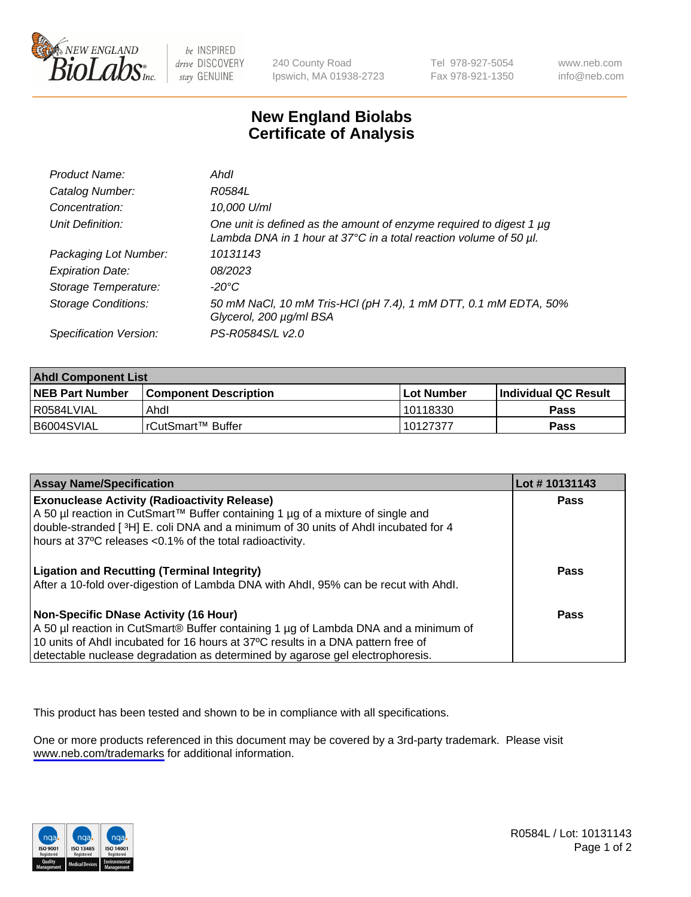

be INSPIRED drive DISCOVERY stay GENUINE

240 County Road Ipswich, MA 01938-2723 Tel 978-927-5054 Fax 978-921-1350

www.neb.com info@neb.com

## **New England Biolabs Certificate of Analysis**

| Product Name:              | Ahdl                                                                                                                                                    |
|----------------------------|---------------------------------------------------------------------------------------------------------------------------------------------------------|
| Catalog Number:            | R0584L                                                                                                                                                  |
| Concentration:             | 10,000 U/ml                                                                                                                                             |
| Unit Definition:           | One unit is defined as the amount of enzyme required to digest 1 µg<br>Lambda DNA in 1 hour at $37^{\circ}$ C in a total reaction volume of 50 $\mu$ l. |
| Packaging Lot Number:      | 10131143                                                                                                                                                |
| <b>Expiration Date:</b>    | 08/2023                                                                                                                                                 |
| Storage Temperature:       | $-20^{\circ}$ C                                                                                                                                         |
| <b>Storage Conditions:</b> | 50 mM NaCl, 10 mM Tris-HCl (pH 7.4), 1 mM DTT, 0.1 mM EDTA, 50%<br>Glycerol, 200 µg/ml BSA                                                              |
| Specification Version:     | PS-R0584S/L v2.0                                                                                                                                        |

| <b>Ahdl Component List</b> |                              |            |                             |  |
|----------------------------|------------------------------|------------|-----------------------------|--|
| <b>NEB Part Number</b>     | <b>Component Description</b> | Lot Number | <b>Individual QC Result</b> |  |
| R0584LVIAL                 | Ahdl                         | 10118330   | Pass                        |  |
| B6004SVIAL                 | l rCutSmart™ Buffer          | 10127377   | Pass                        |  |

| <b>Assay Name/Specification</b>                                                                                                                                                                                                                                                                   | Lot #10131143 |
|---------------------------------------------------------------------------------------------------------------------------------------------------------------------------------------------------------------------------------------------------------------------------------------------------|---------------|
| <b>Exonuclease Activity (Radioactivity Release)</b><br>A 50 µl reaction in CutSmart™ Buffer containing 1 µg of a mixture of single and<br>double-stranded [3H] E. coli DNA and a minimum of 30 units of Ahdl incubated for 4<br>hours at 37°C releases <0.1% of the total radioactivity.          | <b>Pass</b>   |
| <b>Ligation and Recutting (Terminal Integrity)</b><br>After a 10-fold over-digestion of Lambda DNA with Ahdl, 95% can be recut with Ahdl.                                                                                                                                                         | Pass          |
| Non-Specific DNase Activity (16 Hour)<br>A 50 µl reaction in CutSmart® Buffer containing 1 µg of Lambda DNA and a minimum of<br>10 units of Ahdl incubated for 16 hours at 37°C results in a DNA pattern free of<br>detectable nuclease degradation as determined by agarose gel electrophoresis. | Pass          |

This product has been tested and shown to be in compliance with all specifications.

One or more products referenced in this document may be covered by a 3rd-party trademark. Please visit <www.neb.com/trademarks>for additional information.